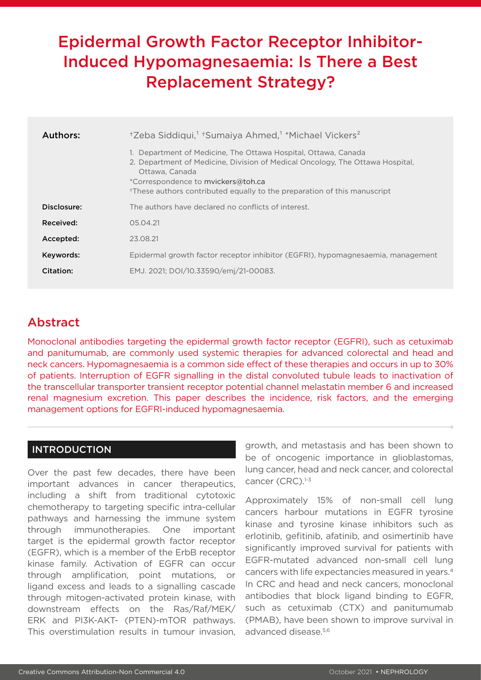# Epidermal Growth Factor Receptor Inhibitor-Induced Hypomagnesaemia: Is There a Best Replacement Strategy?

| Authors:    | <sup>+</sup> Zeba Siddiqui, <sup>1</sup> + Sumaiya Ahmed, <sup>1</sup> * Michael Vickers <sup>2</sup>                                                                                                                                                                                           |
|-------------|-------------------------------------------------------------------------------------------------------------------------------------------------------------------------------------------------------------------------------------------------------------------------------------------------|
|             | 1. Department of Medicine, The Ottawa Hospital, Ottawa, Canada<br>2. Department of Medicine, Division of Medical Oncology, The Ottawa Hospital,<br>Ottawa, Canada<br>*Correspondence to mvickers@toh.ca<br><sup>†</sup> These authors contributed equally to the preparation of this manuscript |
| Disclosure: | The authors have declared no conflicts of interest.                                                                                                                                                                                                                                             |
| Received:   | 05.04.21                                                                                                                                                                                                                                                                                        |
| Accepted:   | 23.08.21                                                                                                                                                                                                                                                                                        |
| Keywords:   | Epidermal growth factor receptor inhibitor (EGFRI), hypomagnesaemia, management                                                                                                                                                                                                                 |
| Citation:   | EMJ. 2021: DOI/10.33590/emi/21-00083.                                                                                                                                                                                                                                                           |

## Abstract

Monoclonal antibodies targeting the epidermal growth factor receptor (EGFRI), such as cetuximab and panitumumab, are commonly used systemic therapies for advanced colorectal and head and neck cancers. Hypomagnesaemia is a common side effect of these therapies and occurs in up to 30% of patients. Interruption of EGFR signalling in the distal convoluted tubule leads to inactivation of the transcellular transporter transient receptor potential channel melastatin member 6 and increased renal magnesium excretion. This paper describes the incidence, risk factors, and the emerging management options for EGFRI-induced hypomagnesaemia.

#### INTRODUCTION

Over the past few decades, there have been important advances in cancer therapeutics, including a shift from traditional cytotoxic chemotherapy to targeting specific intra-cellular pathways and harnessing the immune system through immunotherapies. One important target is the epidermal growth factor receptor (EGFR), which is a member of the ErbB receptor kinase family. Activation of EGFR can occur through amplification, point mutations, or ligand excess and leads to a signalling cascade through mitogen-activated protein kinase, with downstream effects on the Ras/Raf/MEK/ ERK and PI3K-AKT- (PTEN)-mTOR pathways. This overstimulation results in tumour invasion, growth, and metastasis and has been shown to be of oncogenic importance in glioblastomas, lung cancer, head and neck cancer, and colorectal cancer (CRC).<sup>1-3</sup>

Approximately 15% of non-small cell lung cancers harbour mutations in EGFR tyrosine kinase and tyrosine kinase inhibitors such as erlotinib, gefitinib, afatinib, and osimertinib have significantly improved survival for patients with EGFR-mutated advanced non-small cell lung cancers with life expectancies measured in years.4 In CRC and head and neck cancers, monoclonal antibodies that block ligand binding to EGFR, such as cetuximab (CTX) and panitumumab (PMAB), have been shown to improve survival in advanced disease.5,6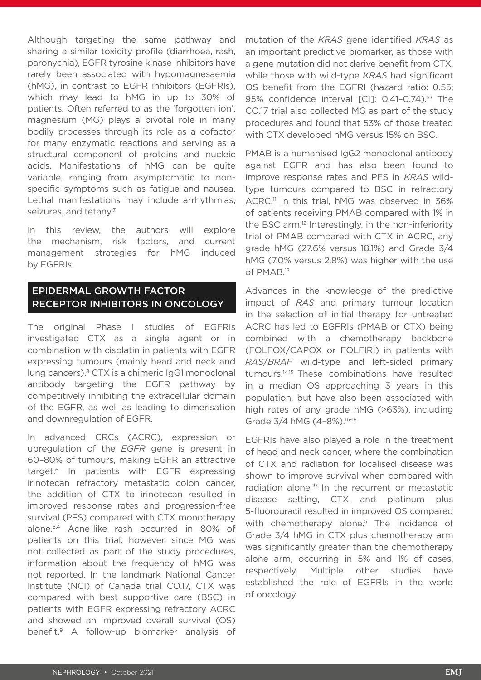Although targeting the same pathway and sharing a similar toxicity profile (diarrhoea, rash, paronychia), EGFR tyrosine kinase inhibitors have rarely been associated with hypomagnesaemia (hMG), in contrast to EGFR inhibitors (EGFRIs), which may lead to hMG in up to 30% of patients. Often referred to as the 'forgotten ion', magnesium (MG) plays a pivotal role in many bodily processes through its role as a cofactor for many enzymatic reactions and serving as a structural component of proteins and nucleic acids. Manifestations of hMG can be quite variable, ranging from asymptomatic to nonspecific symptoms such as fatigue and nausea. Lethal manifestations may include arrhythmias, seizures, and tetany.<sup>7</sup>

In this review, the authors will explore the mechanism, risk factors, and current management strategies for hMG induced by EGFRIs.

### EPIDERMAL GROWTH FACTOR RECEPTOR INHIBITORS IN ONCOLOGY

The original Phase I studies of EGFRIs investigated CTX as a single agent or in combination with cisplatin in patients with EGFR expressing tumours (mainly head and neck and lung cancers).<sup>8</sup> CTX is a chimeric IgG1 monoclonal antibody targeting the EGFR pathway by competitively inhibiting the extracellular domain of the EGFR, as well as leading to dimerisation and downregulation of EGFR.

In advanced CRCs (ACRC), expression or upregulation of the *EGFR* gene is present in 60–80% of tumours, making EGFR an attractive target.6 In patients with EGFR expressing irinotecan refractory metastatic colon cancer, the addition of CTX to irinotecan resulted in improved response rates and progression-free survival (PFS) compared with CTX monotherapy alone.6,4 Acne-like rash occurred in 80% of patients on this trial; however, since MG was not collected as part of the study procedures, information about the frequency of hMG was not reported. In the landmark National Cancer Institute (NCI) of Canada trial CO.17, CTX was compared with best supportive care (BSC) in patients with EGFR expressing refractory ACRC and showed an improved overall survival (OS) benefit.9 A follow-up biomarker analysis of

mutation of the *KRAS* gene identified *KRAS* as an important predictive biomarker, as those with a gene mutation did not derive benefit from CTX, while those with wild-type *KRAS* had significant OS benefit from the EGFRI (hazard ratio: 0.55; 95% confidence interval [CI]: 0.41-0.74).<sup>10</sup> The CO.17 trial also collected MG as part of the study procedures and found that 53% of those treated with CTX developed hMG versus 15% on BSC.

PMAB is a humanised IgG2 monoclonal antibody against EGFR and has also been found to improve response rates and PFS in *KRAS* wildtype tumours compared to BSC in refractory ACRC.11 In this trial, hMG was observed in 36% of patients receiving PMAB compared with 1% in the BSC arm.<sup>12</sup> Interestingly, in the non-inferiority trial of PMAB compared with CTX in ACRC, any grade hMG (27.6% versus 18.1%) and Grade 3/4 hMG (7.0% versus 2.8%) was higher with the use of PMAB.13

Advances in the knowledge of the predictive impact of *RAS* and primary tumour location in the selection of initial therapy for untreated ACRC has led to EGFRIs (PMAB or CTX) being combined with a chemotherapy backbone (FOLFOX/CAPOX or FOLFIRI) in patients with *RAS*/*BRAF* wild-type and left-sided primary tumours.14,15 These combinations have resulted in a median OS approaching 3 years in this population, but have also been associated with high rates of any grade hMG (>63%), including Grade 3/4 hMG (4-8%).<sup>16-18</sup>

EGFRIs have also played a role in the treatment of head and neck cancer, where the combination of CTX and radiation for localised disease was shown to improve survival when compared with radiation alone.19 In the recurrent or metastatic disease setting, CTX and platinum plus 5-fluorouracil resulted in improved OS compared with chemotherapy alone.<sup>5</sup> The incidence of Grade 3/4 hMG in CTX plus chemotherapy arm was significantly greater than the chemotherapy alone arm, occurring in 5% and 1% of cases, respectively. Multiple other studies have established the role of EGFRIs in the world of oncology.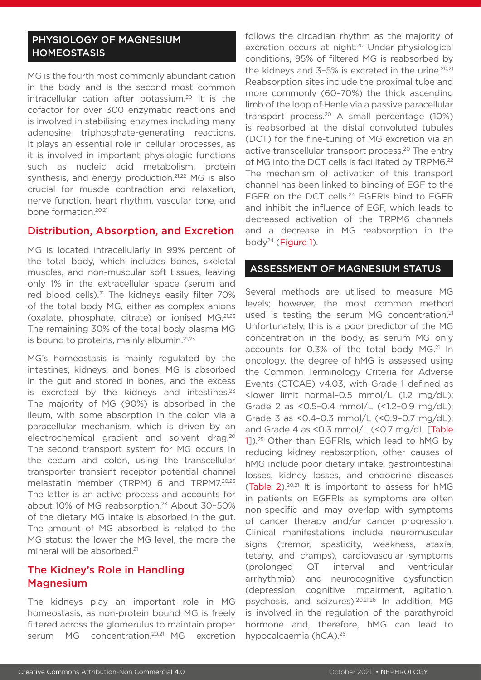### PHYSIOLOGY OF MAGNESIUM **HOMEOSTASIS**

MG is the fourth most commonly abundant cation in the body and is the second most common intracellular cation after potassium.20 It is the cofactor for over 300 enzymatic reactions and is involved in stabilising enzymes including many adenosine triphosphate-generating reactions. It plays an essential role in cellular processes, as it is involved in important physiologic functions such as nucleic acid metabolism, protein synthesis, and energy production.<sup>21,22</sup> MG is also crucial for muscle contraction and relaxation, nerve function, heart rhythm, vascular tone, and bone formation.<sup>20,21</sup>

#### Distribution, Absorption, and Excretion

MG is located intracellularly in 99% percent of the total body, which includes bones, skeletal muscles, and non-muscular soft tissues, leaving only 1% in the extracellular space (serum and red blood cells).<sup>21</sup> The kidneys easily filter 70% of the total body MG, either as complex anions (oxalate, phosphate, citrate) or ionised MG.21,23 The remaining 30% of the total body plasma MG is bound to proteins, mainly albumin.<sup>21,23</sup>

MG's homeostasis is mainly regulated by the intestines, kidneys, and bones. MG is absorbed in the gut and stored in bones, and the excess is excreted by the kidneys and intestines. $23$ The majority of MG (90%) is absorbed in the ileum, with some absorption in the colon via a paracellular mechanism, which is driven by an electrochemical gradient and solvent drag.20 The second transport system for MG occurs in the cecum and colon, using the transcellular transporter transient receptor potential channel melastatin member (TRPM) 6 and TRPM7.20,23 The latter is an active process and accounts for about 10% of MG reabsorption.<sup>23</sup> About 30-50% of the dietary MG intake is absorbed in the gut. The amount of MG absorbed is related to the MG status: the lower the MG level, the more the mineral will be absorbed.<sup>21</sup>

### The Kidney's Role in Handling Magnesium

The kidneys play an important role in MG homeostasis, as non-protein bound MG is freely filtered across the glomerulus to maintain proper serum MG concentration.<sup>20,21</sup> MG excretion

follows the circadian rhythm as the majority of excretion occurs at night.<sup>20</sup> Under physiological conditions, 95% of filtered MG is reabsorbed by the kidneys and  $3-5%$  is excreted in the urine.<sup>20,21</sup> Reabsorption sites include the proximal tube and more commonly (60–70%) the thick ascending limb of the loop of Henle via a passive paracellular transport process.<sup>20</sup> A small percentage  $(10%)$ is reabsorbed at the distal convoluted tubules (DCT) for the fine-tuning of MG excretion via an active transcellular transport process.<sup>20</sup> The entry of MG into the DCT cells is facilitated by TRPM6.22 The mechanism of activation of this transport channel has been linked to binding of EGF to the EGFR on the DCT cells.<sup>24</sup> EGFRIs bind to EGFR and inhibit the influence of EGF, which leads to decreased activation of the TRPM6 channels and a decrease in MG reabsorption in the body<sup>24</sup> (Figure 1).

#### ASSESSMENT OF MAGNESIUM STATUS

Several methods are utilised to measure MG levels; however, the most common method used is testing the serum MG concentration.<sup>21</sup> Unfortunately, this is a poor predictor of the MG concentration in the body, as serum MG only accounts for 0.3% of the total body MG.<sup>21</sup> In oncology, the degree of hMG is assessed using the Common Terminology Criteria for Adverse Events (CTCAE) v4.03, with Grade 1 defined as <lower limit normal–0.5 mmol/L (1.2 mg/dL); Grade 2 as <0.5–0.4 mmol/L (<1.2–0.9 mg/dL); Grade 3 as <0.4–0.3 mmol/L (<0.9–0.7 mg/dL); and Grade 4 as <0.3 mmol/L (<0.7 mg/dL [Table 1]).25 Other than EGFRIs, which lead to hMG by reducing kidney reabsorption, other causes of hMG include poor dietary intake, gastrointestinal losses, kidney losses, and endocrine diseases (Table  $2$ ).<sup>20,21</sup> It is important to assess for hMG in patients on EGFRIs as symptoms are often non-specific and may overlap with symptoms of cancer therapy and/or cancer progression. Clinical manifestations include neuromuscular signs (tremor, spasticity, weakness, ataxia, tetany, and cramps), cardiovascular symptoms (prolonged QT interval and ventricular arrhythmia), and neurocognitive dysfunction (depression, cognitive impairment, agitation, psychosis, and seizures).20,21,26 In addition, MG is involved in the regulation of the parathyroid hormone and, therefore, hMG can lead to hypocalcaemia (hCA).26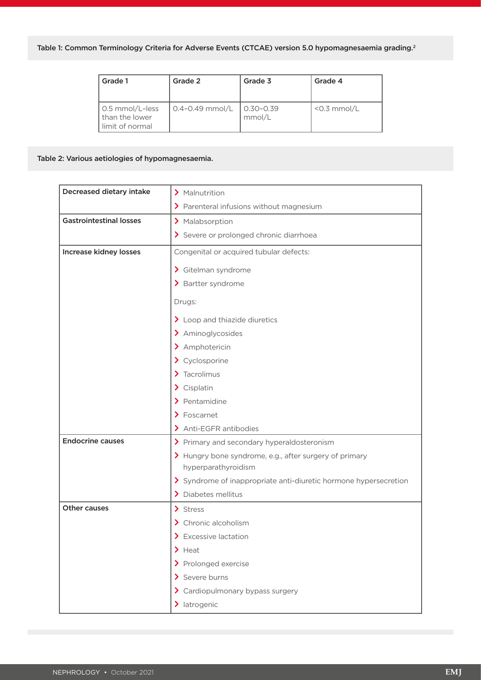| Grade 1                                                         | Grade 2                  | Grade 3                 | Grade 4        |
|-----------------------------------------------------------------|--------------------------|-------------------------|----------------|
| $\int$ 0.5 mmol/L-less<br>I than the lower<br>l limit of normal | $\int 0.4 - 0.49$ mmol/L | $0.30 - 0.39$<br>mmol/L | $<$ 0.3 mmol/L |

#### Table 2: Various aetiologies of hypomagnesaemia.

| Decreased dietary intake       | > Malnutrition                                                                |  |
|--------------------------------|-------------------------------------------------------------------------------|--|
|                                | > Parenteral infusions without magnesium                                      |  |
| <b>Gastrointestinal losses</b> | > Malabsorption                                                               |  |
|                                | > Severe or prolonged chronic diarrhoea                                       |  |
| <b>Increase kidney losses</b>  | Congenital or acquired tubular defects:                                       |  |
|                                | > Gitelman syndrome                                                           |  |
|                                | > Bartter syndrome                                                            |  |
|                                | Drugs:                                                                        |  |
|                                | $\sum$ Loop and thiazide diuretics                                            |  |
|                                | > Aminoglycosides                                                             |  |
|                                | > Amphotericin                                                                |  |
|                                | > Cyclosporine                                                                |  |
|                                | $\sum$ Tacrolimus                                                             |  |
|                                | $\sum$ Cisplatin                                                              |  |
|                                | $\sum$ Pentamidine                                                            |  |
|                                | $\sum$ Foscarnet                                                              |  |
|                                | > Anti-EGFR antibodies                                                        |  |
| <b>Endocrine causes</b>        | > Primary and secondary hyperaldosteronism                                    |  |
|                                | > Hungry bone syndrome, e.g., after surgery of primary<br>hyperparathyroidism |  |
|                                | > Syndrome of inappropriate anti-diuretic hormone hypersecretion              |  |
|                                | > Diabetes mellitus                                                           |  |
| Other causes                   | $\sum$ Stress                                                                 |  |
|                                | > Chronic alcoholism                                                          |  |
|                                | $\sum$ Excessive lactation                                                    |  |
|                                | $\blacktriangleright$ Heat                                                    |  |
|                                | > Prolonged exercise                                                          |  |
|                                | > Severe burns                                                                |  |
|                                | > Cardiopulmonary bypass surgery                                              |  |
|                                | > latrogenic                                                                  |  |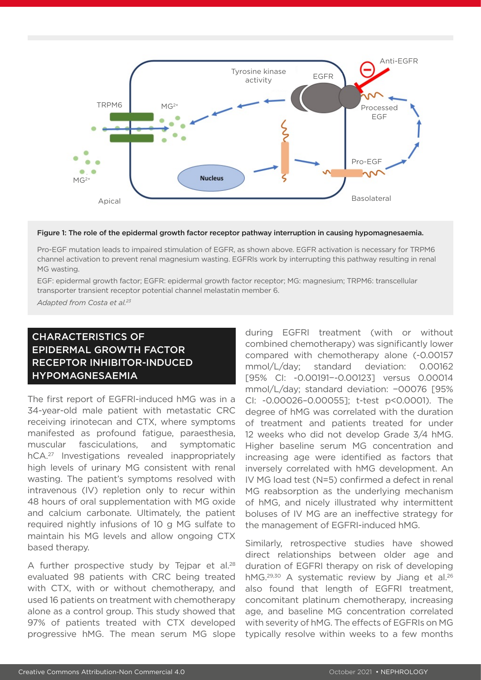

#### Figure 1: The role of the epidermal growth factor receptor pathway interruption in causing hypomagnesaemia.

Pro-EGF mutation leads to impaired stimulation of EGFR, as shown above. EGFR activation is necessary for TRPM6 channel activation to prevent renal magnesium wasting. EGFRIs work by interrupting this pathway resulting in renal MG wasting.

EGF: epidermal growth factor; EGFR: epidermal growth factor receptor; MG: magnesium; TRPM6: transcellular transporter transient receptor potential channel melastatin member 6.

*Adapted from Costa et al.23*

## CHARACTERISTICS OF EPIDERMAL GROWTH FACTOR RECEPTOR INHIBITOR-INDUCED HYPOMAGNESAEMIA

The first report of EGFRI-induced hMG was in a 34-year-old male patient with metastatic CRC receiving irinotecan and CTX, where symptoms manifested as profound fatigue, paraesthesia, muscular fasciculations, and symptomatic hCA.27 Investigations revealed inappropriately high levels of urinary MG consistent with renal wasting. The patient's symptoms resolved with intravenous (IV) repletion only to recur within 48 hours of oral supplementation with MG oxide and calcium carbonate. Ultimately, the patient required nightly infusions of 10 g MG sulfate to maintain his MG levels and allow ongoing CTX based therapy.

A further prospective study by Teipar et al.<sup>28</sup> evaluated 98 patients with CRC being treated with CTX, with or without chemotherapy, and used 16 patients on treatment with chemotherapy alone as a control group. This study showed that 97% of patients treated with CTX developed progressive hMG. The mean serum MG slope during EGFRI treatment (with or without combined chemotherapy) was significantly lower compared with chemotherapy alone (-0.00157 mmol/L/day; standard deviation: 0.00162 [95% CI: -0.00191−-0.00123] versus 0.00014 mmol/L/day; standard deviation: −00076 [95% CI: -0.00026–0.00055]; t-test p<0.0001). The degree of hMG was correlated with the duration of treatment and patients treated for under 12 weeks who did not develop Grade 3/4 hMG. Higher baseline serum MG concentration and increasing age were identified as factors that inversely correlated with hMG development. An IV MG load test (N=5) confirmed a defect in renal MG reabsorption as the underlying mechanism of hMG, and nicely illustrated why intermittent boluses of IV MG are an ineffective strategy for the management of EGFRI-induced hMG.

Similarly, retrospective studies have showed direct relationships between older age and duration of EGFRI therapy on risk of developing hMG.<sup>29,30</sup> A systematic review by Jiang et al.<sup>26</sup> also found that length of EGFRI treatment, concomitant platinum chemotherapy, increasing age, and baseline MG concentration correlated with severity of hMG. The effects of EGFRIs on MG typically resolve within weeks to a few months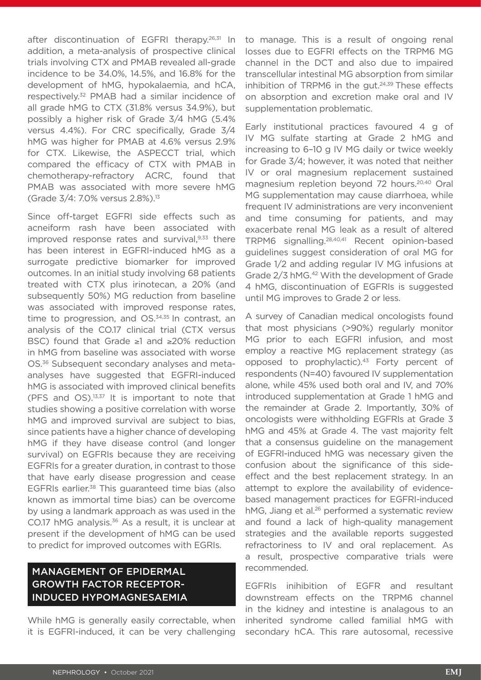after discontinuation of EGFRI therapy.<sup>26,31</sup> In addition, a meta-analysis of prospective clinical trials involving CTX and PMAB revealed all-grade incidence to be 34.0%, 14.5%, and 16.8% for the development of hMG, hypokalaemia, and hCA, respectively.32 PMAB had a similar incidence of all grade hMG to CTX (31.8% versus 34.9%), but possibly a higher risk of Grade 3/4 hMG (5.4% versus 4.4%). For CRC specifically, Grade 3/4 hMG was higher for PMAB at 4.6% versus 2.9% for CTX. Likewise, the ASPECCT trial, which compared the efficacy of CTX with PMAB in chemotherapy-refractory ACRC, found that PMAB was associated with more severe hMG (Grade 3/4: 7.0% versus 2.8%).13

Since off-target EGFRI side effects such as acneiform rash have been associated with improved response rates and survival,<sup>9,33</sup> there has been interest in EGFRI-induced hMG as a surrogate predictive biomarker for improved outcomes. In an initial study involving 68 patients treated with CTX plus irinotecan, a 20% (and subsequently 50%) MG reduction from baseline was associated with improved response rates, time to progression, and OS.<sup>34,35</sup> In contrast, an analysis of the CO.17 clinical trial (CTX versus BSC) found that Grade ≥1 and ≥20% reduction in hMG from baseline was associated with worse OS.<sup>36</sup> Subsequent secondary analyses and metaanalyses have suggested that EGFRI-induced hMG is associated with improved clinical benefits (PFS and OS).13,37 It is important to note that studies showing a positive correlation with worse hMG and improved survival are subject to bias, since patients have a higher chance of developing hMG if they have disease control (and longer survival) on EGFRIs because they are receiving EGFRIs for a greater duration, in contrast to those that have early disease progression and cease EGFRIs earlier.38 This guaranteed time bias (also known as immortal time bias) can be overcome by using a landmark approach as was used in the CO.17 hMG analysis.<sup>36</sup> As a result, it is unclear at present if the development of hMG can be used to predict for improved outcomes with EGRIs.

## MANAGEMENT OF EPIDERMAL GROWTH FACTOR RECEPTOR-INDUCED HYPOMAGNESAEMIA

While hMG is generally easily correctable, when it is EGFRI-induced, it can be very challenging

to manage. This is a result of ongoing renal losses due to EGFRI effects on the TRPM6 MG channel in the DCT and also due to impaired transcellular intestinal MG absorption from similar inhibition of TRPM6 in the gut.<sup>24,39</sup> These effects on absorption and excretion make oral and IV supplementation problematic.

Early institutional practices favoured 4 g of IV MG sulfate starting at Grade 2 hMG and increasing to 6–10 g IV MG daily or twice weekly for Grade 3/4; however, it was noted that neither IV or oral magnesium replacement sustained magnesium repletion beyond 72 hours.<sup>20,40</sup> Oral MG supplementation may cause diarrhoea, while frequent IV administrations are very inconvenient and time consuming for patients, and may exacerbate renal MG leak as a result of altered TRPM6 signalling.28,40,41 Recent opinion-based guidelines suggest consideration of oral MG for Grade 1/2 and adding regular IV MG infusions at Grade 2/3 hMG.<sup>42</sup> With the development of Grade 4 hMG, discontinuation of EGFRIs is suggested until MG improves to Grade 2 or less.

A survey of Canadian medical oncologists found that most physicians (>90%) regularly monitor MG prior to each EGFRI infusion, and most employ a reactive MG replacement strategy (as opposed to prophylactic).43 Forty percent of respondents (N=40) favoured IV supplementation alone, while 45% used both oral and IV, and 70% introduced supplementation at Grade 1 hMG and the remainder at Grade 2. Importantly, 30% of oncologists were withholding EGFRIs at Grade 3 hMG and 45% at Grade 4. The vast majority felt that a consensus guideline on the management of EGFRI-induced hMG was necessary given the confusion about the significance of this sideeffect and the best replacement strategy. In an attempt to explore the availability of evidencebased management practices for EGFRI-induced hMG, Jiang et al.<sup>26</sup> performed a systematic review and found a lack of high-quality management strategies and the available reports suggested refractoriness to IV and oral replacement. As a result, prospective comparative trials were recommended.

EGFRIs inihibition of EGFR and resultant downstream effects on the TRPM6 channel in the kidney and intestine is analagous to an inherited syndrome called familial hMG with secondary hCA. This rare autosomal, recessive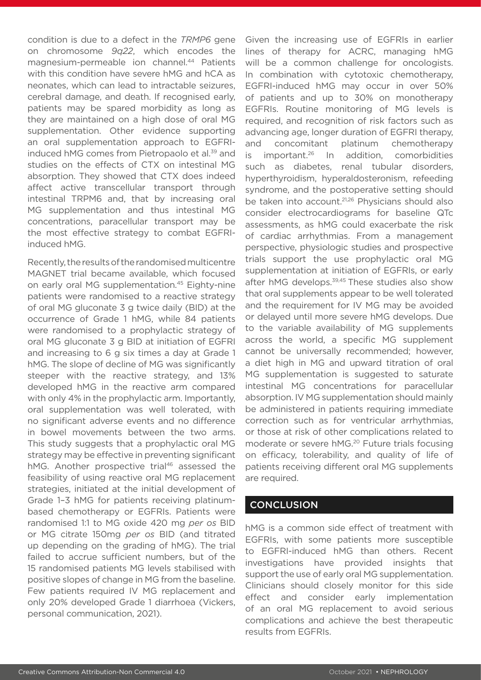condition is due to a defect in the *TRMP6* gene on chromosome *9q22*, which encodes the magnesium-permeable ion channel.44 Patients with this condition have severe hMG and hCA as neonates, which can lead to intractable seizures, cerebral damage, and death. If recognised early, patients may be spared morbidity as long as they are maintained on a high dose of oral MG supplementation. Other evidence supporting an oral supplementation approach to EGFRIinduced hMG comes from Pietropaolo et al.<sup>39</sup> and studies on the effects of CTX on intestinal MG absorption. They showed that CTX does indeed affect active transcellular transport through intestinal TRPM6 and, that by increasing oral MG supplementation and thus intestinal MG concentrations, paracellular transport may be the most effective strategy to combat EGFRIinduced hMG.

Recently, the results of the randomised multicentre MAGNET trial became available, which focused on early oral MG supplementation.45 Eighty-nine patients were randomised to a reactive strategy of oral MG gluconate 3 g twice daily (BID) at the occurrence of Grade 1 hMG, while 84 patients were randomised to a prophylactic strategy of oral MG gluconate 3 g BID at initiation of EGFRI and increasing to 6 g six times a day at Grade 1 hMG. The slope of decline of MG was significantly steeper with the reactive strategy, and 13% developed hMG in the reactive arm compared with only 4% in the prophylactic arm. Importantly, oral supplementation was well tolerated, with no significant adverse events and no difference in bowel movements between the two arms. This study suggests that a prophylactic oral MG strategy may be effective in preventing significant hMG. Another prospective trial<sup>46</sup> assessed the feasibility of using reactive oral MG replacement strategies, initiated at the initial development of Grade 1–3 hMG for patients receiving platinumbased chemotherapy or EGFRIs. Patients were randomised 1:1 to MG oxide 420 mg *per os* BID or MG citrate 150mg *per os* BID (and titrated up depending on the grading of hMG). The trial failed to accrue sufficient numbers, but of the 15 randomised patients MG levels stabilised with positive slopes of change in MG from the baseline. Few patients required IV MG replacement and only 20% developed Grade 1 diarrhoea (Vickers, personal communication, 2021).

Given the increasing use of EGFRIs in earlier lines of therapy for ACRC, managing hMG will be a common challenge for oncologists. In combination with cytotoxic chemotherapy, EGFRI-induced hMG may occur in over 50% of patients and up to 30% on monotherapy EGFRIs. Routine monitoring of MG levels is required, and recognition of risk factors such as advancing age, longer duration of EGFRI therapy, and concomitant platinum chemotherapy is important.26 In addition, comorbidities such as diabetes, renal tubular disorders, hyperthyroidism, hyperaldosteronism, refeeding syndrome, and the postoperative setting should be taken into account.21,26 Physicians should also consider electrocardiograms for baseline QTc assessments, as hMG could exacerbate the risk of cardiac arrhythmias. From a management perspective, physiologic studies and prospective trials support the use prophylactic oral MG supplementation at initiation of EGFRIs, or early after hMG develops.<sup>39,45</sup> These studies also show that oral supplements appear to be well tolerated and the requirement for IV MG may be avoided or delayed until more severe hMG develops. Due to the variable availability of MG supplements across the world, a specific MG supplement cannot be universally recommended; however, a diet high in MG and upward titration of oral MG supplementation is suggested to saturate intestinal MG concentrations for paracellular absorption. IV MG supplementation should mainly be administered in patients requiring immediate correction such as for ventricular arrhythmias, or those at risk of other complications related to moderate or severe hMG.<sup>20</sup> Future trials focusing on efficacy, tolerability, and quality of life of patients receiving different oral MG supplements are required.

#### **CONCLUSION**

hMG is a common side effect of treatment with EGFRIs, with some patients more susceptible to EGFRI-induced hMG than others. Recent investigations have provided insights that support the use of early oral MG supplementation. Clinicians should closely monitor for this side effect and consider early implementation of an oral MG replacement to avoid serious complications and achieve the best therapeutic results from EGFRIs.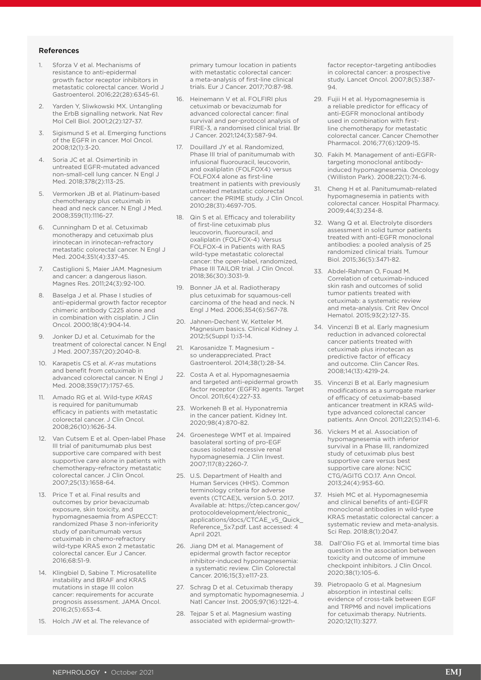#### References

- 1. Sforza V et al. Mechanisms of resistance to anti-epidermal growth factor receptor inhibitors in metastatic colorectal cancer. World J Gastroenterol. 2016;22(28):6345-61.
- 2. Yarden Y, Sliwkowski MX. Untangling the ErbB signalling network. Nat Rev Mol Cell Biol. 2001;2(2):127-37.
- 3. Sigismund S et al. Emerging functions of the EGFR in cancer. Mol Oncol. 2008;12(1):3-20.
- 4. Soria JC et al. Osimertinib in untreated EGFR-mutated advanced non-small-cell lung cancer. N Engl J Med. 2018;378(2):113-25.
- 5. Vermorken JB et al. Platinum-based chemotherapy plus cetuximab in head and neck cancer. N Engl J Med. 2008;359(11):1116-27.
- 6. Cunningham D et al. Cetuximab monotherapy and cetuximab plus irinotecan in irinotecan-refractory metastatic colorectal cancer. N Engl J Med. 2004;351(4):337-45.
- Castiglioni S, Maier JAM. Magnesium and cancer: a dangerous liason. Magnes Res. 2011;24(3):92-100.
- 8. Baselga J et al. Phase I studies of anti-epidermal growth factor receptor chimeric antibody C225 alone and in combination with cisplatin. J Clin Oncol. 2000;18(4):904-14.
- 9. Jonker DJ et al. Cetuximab for the treatment of colorectal cancer. N Engl J Med. 2007;357(20):2040-8.
- 10. Karapetis CS et al. *K-ras* mutations and benefit from cetuximab in advanced colorectal cancer. N Engl J Med. 2008;359(17):1757-65.
- 11. Amado RG et al. Wild-type *KRAS* is required for panitumumab efficacy in patients with metastatic colorectal cancer. J Clin Oncol. 2008;26(10):1626-34.
- 12. Van Cutsem E et al. Open-label Phase III trial of panitumumab plus best supportive care compared with best supportive care alone in patients with chemotherapy-refractory metastatic colorectal cancer. J Clin Oncol. 2007;25(13):1658-64.
- 13. Price T et al. Final results and outcomes by prior bevacizumab exposure, skin toxicity, and hypomagnesaemia from ASPECCT: randomized Phase 3 non-inferiority study of panitumumab versus cetuximab in chemo-refractory wild-type KRAS exon 2 metastatic colorectal cancer. Eur J Cancer. 2016;68:51-9.
- 14. Klingbiel D, Sabine T. Microsatellite instability and BRAF and KRAS mutations in stage III colon cancer: requirements for accurate prognosis assessment. JAMA Oncol. 2016;2(5):653-4.
- 15. Holch JW et al. The relevance of

primary tumour location in patients with metastatic colorectal cancer: a meta-analysis of first-line clinical trials. Eur J Cancer. 2017;70:87-98.

- 16. Heinemann V et al. FOLFIRI plus cetuximab or bevacizumab for advanced colorectal cancer: final survival and per-protocol analysis of FIRE-3, a randomised clinical trial. Br J Cancer. 2021;124(3):587-94.
- 17. Douillard JY et al. Randomized, Phase III trial of panitumumab with infusional fluorouracil, leucovorin, and oxaliplatin (FOLFOX4) versus FOLFOX4 alone as first-line treatment in patients with previously untreated metastatic colorectal cancer: the PRIME study. J Clin Oncol. 2010;28(31):4697-705.
- 18. Qin S et al. Efficacy and tolerability of first-line cetuximab plus leucovorin, fluorouracil, and oxaliplatin (FOLFOX-4) Versus FOLFOX-4 in Patients with RAS wild-type metastatic colorectal cancer: the open-label, randomized, Phase III TAILOR trial. J Clin Oncol. 2018;36(30):3031-9.
- 19. Bonner JA et al. Radiotherapy plus cetuximab for squamous-cell carcinoma of the head and neck. N Engl J Med. 2006;354(6):567-78.
- 20. Jahnen-Dechent W, Ketteler M. Magnesium basics. Clinical Kidney J. 2012;5(Suppl 1):i3-14.
- 21. Karosanidze T. Magnesium so underappreciated. Pract Gastroenterol. 2014;38(1):28-34.
- 22. Costa A et al. Hypomagnesaemia and targeted anti-epidermal growth factor receptor (EGFR) agents. Target Oncol. 2011;6(4):227-33.
- 23. Workeneh B et al. Hyponatremia in the cancer patient. Kidney Int. 2020;98(4):870-82.
- 24. Groenestege WMT et al. Impaired basolateral sorting of pro-EGF causes isolated recessive renal hypomagnesemia. J Clin Invest. 2007;117(8):2260-7.
- 25. U.S. Department of Health and Human Services (HHS). Common terminology criteria for adverse events (CTCAE)L version 5.0. 2017. Available at: https://ctep.cancer.gov/ protocoldevelopment/electronic\_ applications/docs/CTCAE\_v5\_Quick Reference\_5x7.pdf. Last accessed: 4 April 2021.
- 26. Jiang DM et al. Management of epidermal growth factor receptor inhibitor-induced hypomagnesemia: a systematic review. Clin Colorectal Cancer. 2016;15(3):e117-23.
- 27. Schrag D et al. Cetuximab therapy and symptomatic hypomagnesemia. J Natl Cancer Inst. 2005;97(16):1221-4.
- 28. Tejpar S et al. Magnesium wasting associated with epidermal-growth-

factor receptor-targeting antibodies in colorectal cancer: a prospective study. Lancet Oncol. 2007;8(5):387- 94.

- 29. Fujii H et al. Hypomagnesemia is a reliable predictor for efficacy of anti-EGFR monoclonal antibody used in combination with firstline chemotherapy for metastatic colorectal cancer. Cancer Chemother Pharmacol. 2016;77(6):1209-15.
- 30. Fakih M. Management of anti-EGFRtargeting monoclonal antibodyinduced hypomagnesemia. Oncology (Williston Park). 2008;22(1):74-6.
- 31. Cheng H et al. Panitumumab-related hypomagnesemia in patients with colorectal cancer. Hospital Pharmacy. 2009;44(3):234-8.
- 32. Wang Q et al. Electrolyte disorders assessment in solid tumor patients treated with anti-EGFR monoclonal antibodies: a pooled analysis of 25 randomized clinical trials. Tumour Biol. 2015;36(5):3471-82.
- 33. Abdel-Rahman O, Fouad M. Correlation of cetuximab-induced skin rash and outcomes of solid tumor patients treated with cetuximab: a systematic review and meta-analysis. Crit Rev Oncol Hematol. 2015;93(2):127-35.
- 34. Vincenzi B et al. Early magnesium reduction in advanced colorectal cancer patients treated with cetuximab plus irinotecan as predictive factor of efficacy and outcome. Clin Cancer Res. 2008;14(13):4219-24.
- 35. Vincenzi B et al. Early magnesium modifications as a surrogate marker of efficacy of cetuximab-based anticancer treatment in KRAS wildtype advanced colorectal cancer patients. Ann Oncol. 2011;22(5):1141-6.
- 36. Vickers M et al. Association of hypomagnesemia with inferior survival in a Phase III, randomized study of cetuximab plus best supportive care versus best supportive care alone: NCIC CTG/AGITG CO.17. Ann Oncol. 2013;24(4):953-60.
- 37. Hsieh MC et al. Hypomagnesemia and clinical benefits of anti-EGFR monoclonal antibodies in wild-type KRAS metastatic colorectal cancer: a systematic review and meta-analysis. Sci Rep. 2018;8(1):2047.
- 38. Dall'Olio FG et al. Immortal time bias question in the association between toxicity and outcome of immune checkpoint inhibitors. J Clin Oncol. 2020;38(1):105-6.
- 39. Pietropaolo G et al. Magnesium absorption in intestinal cells: evidence of cross-talk between EGF and TRPM6 and novel implications for cetuximab therapy. Nutrients. 2020;12(11):3277.